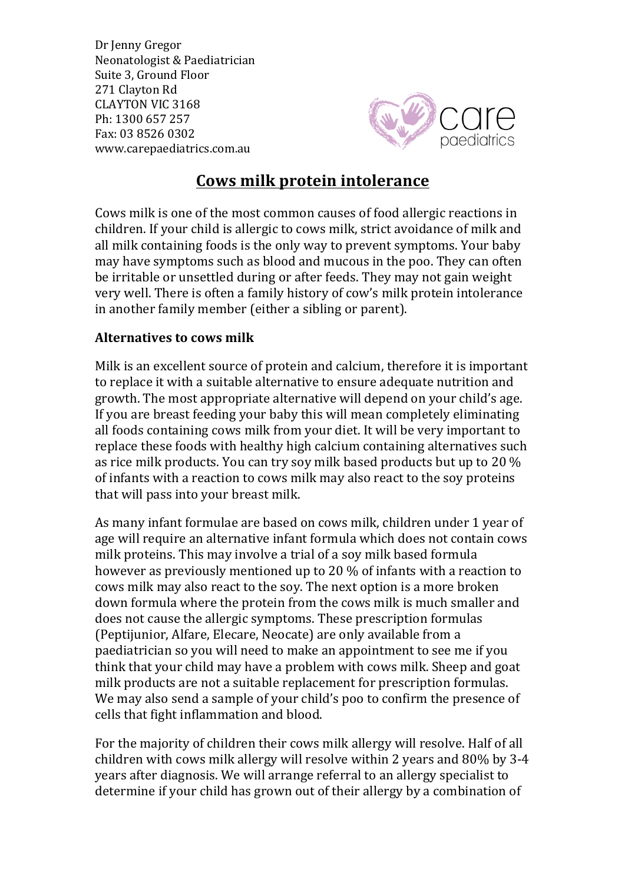Dr Jenny Gregor Neonatologist & Paediatrician Suite 3, Ground Floor 271 Clayton Rd CLAYTON VIC 3168 Ph: 1300 657 257 Fax: 03 8526 0302 www.carepaediatrics.com.au



## **Cows milk protein intolerance**

Cows milk is one of the most common causes of food allergic reactions in children. If your child is allergic to cows milk, strict avoidance of milk and all milk containing foods is the only way to prevent symptoms. Your baby may have symptoms such as blood and mucous in the poo. They can often be irritable or unsettled during or after feeds. They may not gain weight very well. There is often a family history of cow's milk protein intolerance in another family member (either a sibling or parent).

## **Alternatives to cows milk**

Milk is an excellent source of protein and calcium, therefore it is important to replace it with a suitable alternative to ensure adequate nutrition and growth. The most appropriate alternative will depend on your child's age. If you are breast feeding your baby this will mean completely eliminating all foods containing cows milk from your diet. It will be very important to replace these foods with healthy high calcium containing alternatives such as rice milk products. You can try soy milk based products but up to 20  $\%$ of infants with a reaction to cows milk may also react to the soy proteins that will pass into your breast milk.

As many infant formulae are based on cows milk, children under 1 year of age will require an alternative infant formula which does not contain cows milk proteins. This may involve a trial of a soy milk based formula however as previously mentioned up to 20 % of infants with a reaction to cows milk may also react to the soy. The next option is a more broken down formula where the protein from the cows milk is much smaller and does not cause the allergic symptoms. These prescription formulas (Peptijunior, Alfare, Elecare, Neocate) are only available from a paediatrician so you will need to make an appointment to see me if you think that your child may have a problem with cows milk. Sheep and goat milk products are not a suitable replacement for prescription formulas. We may also send a sample of your child's poo to confirm the presence of cells that fight inflammation and blood.

For the majority of children their cows milk allergy will resolve. Half of all children with cows milk allergy will resolve within 2 years and 80% by 3-4 years after diagnosis. We will arrange referral to an allergy specialist to determine if your child has grown out of their allergy by a combination of